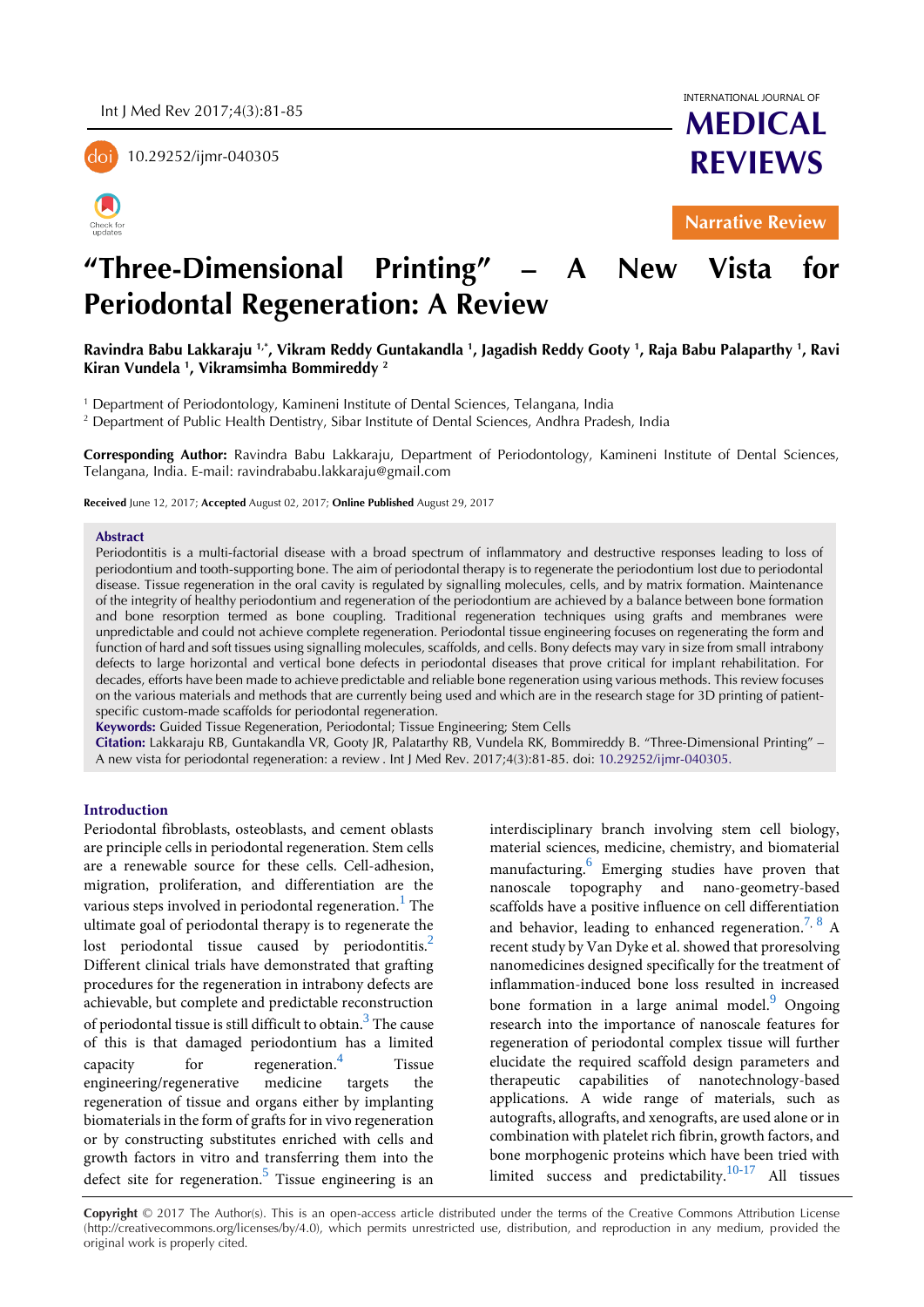10.29252/ijmr-040305



INTERNATIONAL JOURNAL OF

**MEDICAL REVIEWS**

**Narrative Review** 

# **"Three-Dimensional Printing" – A New Vista for Periodontal Regeneration: A Review**

**Ravindra Babu Lakkaraju 1,\*, Vikram Reddy Guntakandla <sup>1</sup> , Jagadish Reddy Gooty <sup>1</sup> , Raja Babu Palaparthy <sup>1</sup> , Ravi Kiran Vundela <sup>1</sup> , Vikramsimha Bommireddy <sup>2</sup>**

1 Department of Periodontology, Kamineni Institute of Dental Sciences, Telangana, India

2 Department of Public Health Dentistry, Sibar Institute of Dental Sciences, Andhra Pradesh, India

**Corresponding Author:** Ravindra Babu Lakkaraju, Department of Periodontology, Kamineni Institute of Dental Sciences, Telangana, India. E-mail: ravindrababu.lakkaraju@gmail.com

**Received** June 12, 2017; **Accepted** August 02, 2017; **Online Published** August 29, 2017

## **Abstract**

Periodontitis is a multi-factorial disease with a broad spectrum of inflammatory and destructive responses leading to loss of periodontium and tooth-supporting bone. The aim of periodontal therapy is to regenerate the periodontium lost due to periodontal disease. Tissue regeneration in the oral cavity is regulated by signalling molecules, cells, and by matrix formation. Maintenance of the integrity of healthy periodontium and regeneration of the periodontium are achieved by a balance between bone formation and bone resorption termed as bone coupling. Traditional regeneration techniques using grafts and membranes were unpredictable and could not achieve complete regeneration. Periodontal tissue engineering focuses on regenerating the form and function of hard and soft tissues using signalling molecules, scaffolds, and cells. Bony defects may vary in size from small intrabony defects to large horizontal and vertical bone defects in periodontal diseases that prove critical for implant rehabilitation. For decades, efforts have been made to achieve predictable and reliable bone regeneration using various methods. This review focuses on the various materials and methods that are currently being used and which are in the research stage for 3D printing of patientspecific custom-made scaffolds for periodontal regeneration.

**Keywords:** Guided Tissue Regeneration, Periodontal; Tissue Engineering; Stem Cells

**Citation:** Lakkaraju RB, Guntakandla VR, Gooty JR, Palatarthy RB, Vundela RK, Bommireddy B. "Three-Dimensional Printing" – A new vista for periodontal regeneration: a review . Int J Med Rev. 2017;4(3):81-85. doi: [10.29252/ijmr-040305.](http://dx.doi.org/10.29252/ijmr-040305)

## **Introduction**

Periodontal fibroblasts, osteoblasts, and cement oblasts are principle cells in periodontal regeneration. Stem cells are a renewable source for these cells. Cell-adhesion, migration, proliferation, and differentiation are the various steps involved in periodontal regeneration. $^{\rm 1}$  $^{\rm 1}$  $^{\rm 1}$  The ultimate goal of periodontal therapy is to regenerate the lost periodontal tissue caused by periodontitis.<sup>[2](#page-3-1)</sup> Different clinical trials have demonstrated that grafting procedures for the regeneration in intrabony defects are achievable, but complete and predictable reconstruction of periodontal tissue is still difficult to obtain.  $^3$  $^3$  The cause of this is that damaged periodontium has a limited capacity for regeneration.[4](#page-3-3) Tissue engineering/regenerative medicine targets the regeneration of tissue and organs either by implanting biomaterials in the form of grafts for in vivo regeneration or by constructing substitutes enriched with cells and growth factors in vitro and transferring them into the defect site for regeneration.<sup>[5](#page-3-4)</sup> Tissue engineering is an

interdisciplinary branch involving stem cell biology, material sciences, medicine, chemistry, and biomaterial manufacturing.<sup>[6](#page-3-5)</sup> Emerging studies have proven that nanoscale topography and nano-geometry-based scaffolds have a positive influence on cell differentiation and behavior, leading to enhanced regeneration.<sup>[7](#page-3-6), [8](#page-3-7)</sup> A recent study by Van Dyke et al. showed that proresolving nanomedicines designed specifically for the treatment of inflammation-induced bone loss resulted in increased bone formation in a large animal model.<sup>[9](#page-3-8)</sup> Ongoing research into the importance of nanoscale features for regeneration of periodontal complex tissue will further elucidate the required scaffold design parameters and therapeutic capabilities of nanotechnology-based applications. A wide range of materials, such as autografts, allografts, and xenografts, are used alone or in combination with platelet rich fibrin, growth factors, and bone morphogenic proteins which have been tried with limited success and predictability. $10-17$  All tissues

**Copyright** © 2017 The Author(s). This is an open-access article distributed under the terms of the Creative Commons Attribution License (http://creativecommons.org/licenses/by/4.0), which permits unrestricted use, distribution, and reproduction in any medium, provided the original work is properly cited.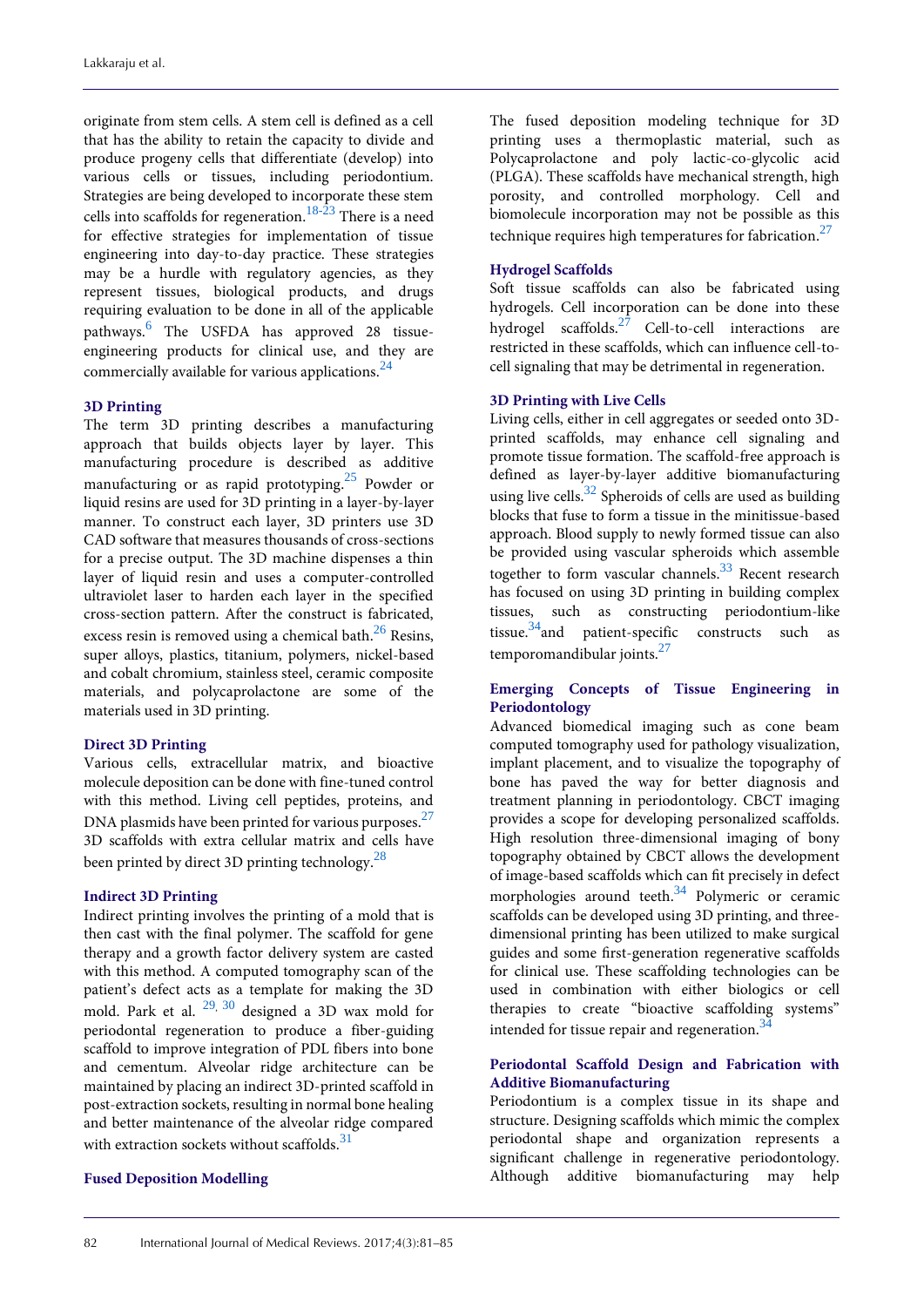originate from stem cells. A stem cell is defined as a cell that has the ability to retain the capacity to divide and produce progeny cells that differentiate (develop) into various cells or tissues, including periodontium. Strategies are being developed to incorporate these stem cells into scaffolds for regeneration. [18-23](#page-3-10) There is a need for effective strategies for implementation of tissue engineering into day-to-day practice. These strategies may be a hurdle with regulatory agencies, as they represent tissues, biological products, and drugs requiring evaluation to be done in all of the applicable pathways. [6](#page-3-5) The USFDA has approved 28 tissueengineering products for clinical use, and they are commercially available for various applications.<sup>[24](#page-3-11)</sup>

## **3D Printing**

The term 3D printing describes a manufacturing approach that builds objects layer by layer. This manufacturing procedure is described as additive manufacturing or as rapid prototyping. [25](#page-3-12) Powder or liquid resins are used for 3D printing in a layer-by-layer manner. To construct each layer, 3D printers use 3D CAD software that measures thousands of cross-sections for a precise output. The 3D machine dispenses a thin layer of liquid resin and uses a computer-controlled ultraviolet laser to harden each layer in the specified cross-section pattern. After the construct is fabricated, excess resin is removed using a chemical bath.<sup>[26](#page-3-13)</sup> Resins, super alloys, plastics, titanium, polymers, nickel-based and cobalt chromium, stainless steel, ceramic composite materials, and polycaprolactone are some of the materials used in 3D printing.

## **Direct 3D Printing**

Various cells, extracellular matrix, and bioactive molecule deposition can be done with fine-tuned control with this method. Living cell peptides, proteins, and DNA plasmids have been printed for various purposes.  $^{27}$  $^{27}$  $^{27}$ 3D scaffolds with extra cellular matrix and cells have been printed by direct 3D printing technology.<sup>[28](#page-4-1)</sup>

## **Indirect 3D Printing**

Indirect printing involves the printing of a mold that is then cast with the final polymer. The scaffold for gene therapy and a growth factor delivery system are casted with this method. A computed tomography scan of the patient's defect acts as a template for making the 3D mold. Park et al.  $^{29}$  $^{29}$  $^{29}$ ,  $^{30}$  $^{30}$  $^{30}$  designed a 3D wax mold for periodontal regeneration to produce a fiber-guiding scaffold to improve integration of PDL fibers into bone and cementum. Alveolar ridge architecture can be maintained by placing an indirect 3D-printed scaffold in post-extraction sockets, resulting in normal bone healing and better maintenance of the alveolar ridge compared with extraction sockets without scaffolds.<sup>[31](#page-4-4)</sup>

## **Fused Deposition Modelling**

The fused deposition modeling technique for 3D printing uses a thermoplastic material, such as Polycaprolactone and poly lactic-co-glycolic acid (PLGA). These scaffolds have mechanical strength, high porosity, and controlled morphology. Cell and biomolecule incorporation may not be possible as this technique requires high temperatures for fabrication. $^{27}$  $^{27}$  $^{27}$ 

## **Hydrogel Scaffolds**

Soft tissue scaffolds can also be fabricated using hydrogels. Cell incorporation can be done into these hydrogel scaffolds.<sup>[27](#page-4-0)</sup> Cell-to-cell interactions are restricted in these scaffolds, which can influence cell-tocell signaling that may be detrimental in regeneration.

## **3D Printing with Live Cells**

Living cells, either in cell aggregates or seeded onto 3Dprinted scaffolds, may enhance cell signaling and promote tissue formation. The scaffold-free approach is defined as layer-by-layer additive biomanufacturing using live cells.<sup>[32](#page-4-5)</sup> Spheroids of cells are used as building blocks that fuse to form a tissue in the minitissue-based approach. Blood supply to newly formed tissue can also be provided using vascular spheroids which assemble together to form vascular channels. [33](#page-4-6) Recent research has focused on using 3D printing in building complex tissues, such as constructing periodontium-like tissue. [34](#page-4-7)and patient-specific constructs such as temporomandibular joints.<sup>[27](#page-4-0)</sup>

## **Emerging Concepts of Tissue Engineering in Periodontology**

Advanced biomedical imaging such as cone beam computed tomography used for pathology visualization, implant placement, and to visualize the topography of bone has paved the way for better diagnosis and treatment planning in periodontology. CBCT imaging provides a scope for developing personalized scaffolds. High resolution three-dimensional imaging of bony topography obtained by CBCT allows the development of image-based scaffolds which can fit precisely in defect morphologies around teeth.<sup>[34](#page-4-7)</sup> Polymeric or ceramic scaffolds can be developed using 3D printing, and threedimensional printing has been utilized to make surgical guides and some first-generation regenerative scaffolds for clinical use. These scaffolding technologies can be used in combination with either biologics or cell therapies to create "bioactive scaffolding systems" intended for tissue repair and regeneration.<sup>[34](#page-4-7)</sup>

## **Periodontal Scaffold Design and Fabrication with Additive Biomanufacturing**

Periodontium is a complex tissue in its shape and structure. Designing scaffolds which mimic the complex periodontal shape and organization represents a significant challenge in regenerative periodontology. Although additive biomanufacturing may help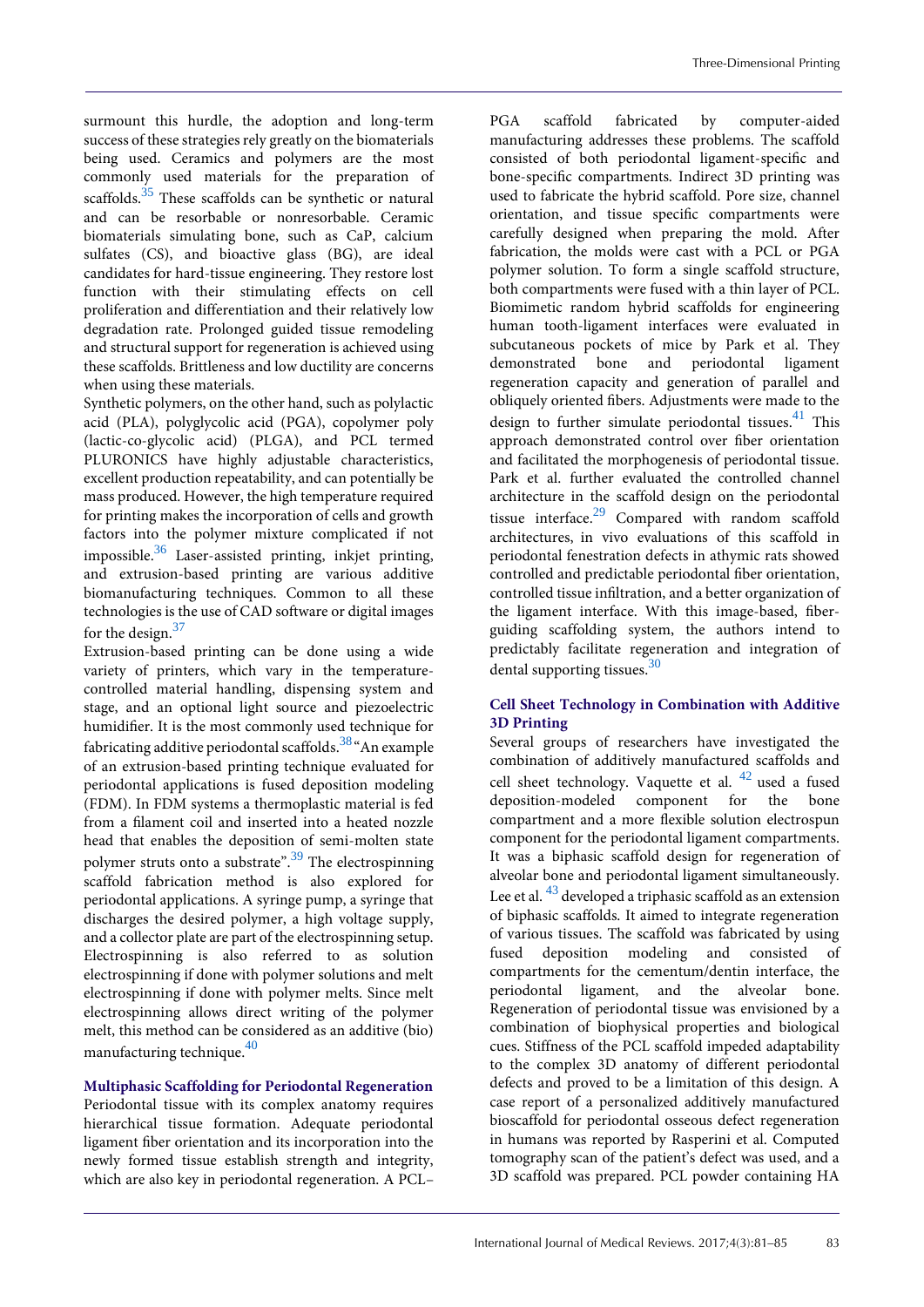surmount this hurdle, the adoption and long-term success of these strategies rely greatly on the biomaterials being used. Ceramics and polymers are the most commonly used materials for the preparation of scaffolds.<sup>[35](#page-4-8)</sup> These scaffolds can be synthetic or natural and can be resorbable or nonresorbable. Ceramic biomaterials simulating bone, such as CaP, calcium sulfates (CS), and bioactive glass (BG), are ideal candidates for hard-tissue engineering. They restore lost function with their stimulating effects on cell proliferation and differentiation and their relatively low degradation rate. Prolonged guided tissue remodeling and structural support for regeneration is achieved using these scaffolds. Brittleness and low ductility are concerns when using these materials.

Synthetic polymers, on the other hand, such as polylactic acid (PLA), polyglycolic acid (PGA), copolymer poly (lactic-co-glycolic acid) (PLGA), and PCL termed PLURONICS have highly adjustable characteristics, excellent production repeatability, and can potentially be mass produced. However, the high temperature required for printing makes the incorporation of cells and growth factors into the polymer mixture complicated if not impossible. [36](#page-4-9) Laser-assisted printing, inkjet printing, and extrusion-based printing are various additive biomanufacturing techniques. Common to all these technologies is the use of CAD software or digital images for the design. [37](#page-4-10)

Extrusion-based printing can be done using a wide variety of printers, which vary in the temperaturecontrolled material handling, dispensing system and stage, and an optional light source and piezoelectric humidifier. It is the most commonly used technique for fabricating additive periodontal scaffolds. <sup>[38](#page-4-11)</sup> "An example of an extrusion-based printing technique evaluated for periodontal applications is fused deposition modeling (FDM). In FDM systems a thermoplastic material is fed from a filament coil and inserted into a heated nozzle head that enables the deposition of semi-molten state polymer struts onto a substrate".<sup>[39](#page-4-12)</sup> The electrospinning scaffold fabrication method is also explored for periodontal applications. A syringe pump, a syringe that discharges the desired polymer, a high voltage supply, and a collector plate are part of the electrospinning setup. Electrospinning is also referred to as solution electrospinning if done with polymer solutions and melt electrospinning if done with polymer melts. Since melt electrospinning allows direct writing of the polymer melt, this method can be considered as an additive (bio) manufacturing technique. [40](#page-4-13)

## **Multiphasic Scaffolding for Periodontal Regeneration**

Periodontal tissue with its complex anatomy requires hierarchical tissue formation. Adequate periodontal ligament fiber orientation and its incorporation into the newly formed tissue establish strength and integrity, which are also key in periodontal regeneration. A PCL–

PGA scaffold fabricated by computer-aided manufacturing addresses these problems. The scaffold consisted of both periodontal ligament-specific and bone-specific compartments. Indirect 3D printing was used to fabricate the hybrid scaffold. Pore size, channel orientation, and tissue specific compartments were carefully designed when preparing the mold. After fabrication, the molds were cast with a PCL or PGA polymer solution. To form a single scaffold structure, both compartments were fused with a thin layer of PCL. Biomimetic random hybrid scaffolds for engineering human tooth-ligament interfaces were evaluated in subcutaneous pockets of mice by Park et al. They demonstrated bone and periodontal ligament regeneration capacity and generation of parallel and obliquely oriented fibers. Adjustments were made to the design to further simulate periodontal tissues. [41](#page-4-14) This approach demonstrated control over fiber orientation and facilitated the morphogenesis of periodontal tissue. Park et al. further evaluated the controlled channel architecture in the scaffold design on the periodontal tissue interface.<sup>[29](#page-4-2)</sup> Compared with random scaffold architectures, in vivo evaluations of this scaffold in periodontal fenestration defects in athymic rats showed controlled and predictable periodontal fiber orientation, controlled tissue infiltration, and a better organization of the ligament interface. With this image-based, fiberguiding scaffolding system, the authors intend to predictably facilitate regeneration and integration of dental supporting tissues.<sup>[30](#page-4-3)</sup>

## **Cell Sheet Technology in Combination with Additive 3D Printing**

Several groups of researchers have investigated the combination of additively manufactured scaffolds and cell sheet technology. Vaquette et al.  $42$  used a fused deposition-modeled component for the bone compartment and a more flexible solution electrospun component for the periodontal ligament compartments. It was a biphasic scaffold design for regeneration of alveolar bone and periodontal ligament simultaneously. Lee et al.  $^{43}$  $^{43}$  $^{43}$  developed a triphasic scaffold as an extension of biphasic scaffolds. It aimed to integrate regeneration of various tissues. The scaffold was fabricated by using fused deposition modeling and consisted of compartments for the cementum/dentin interface, the periodontal ligament, and the alveolar bone. Regeneration of periodontal tissue was envisioned by a combination of biophysical properties and biological cues. Stiffness of the PCL scaffold impeded adaptability to the complex 3D anatomy of different periodontal defects and proved to be a limitation of this design. A case report of a personalized additively manufactured bioscaffold for periodontal osseous defect regeneration in humans was reported by Rasperini et al. Computed tomography scan of the patient's defect was used, and a 3D scaffold was prepared. PCL powder containing HA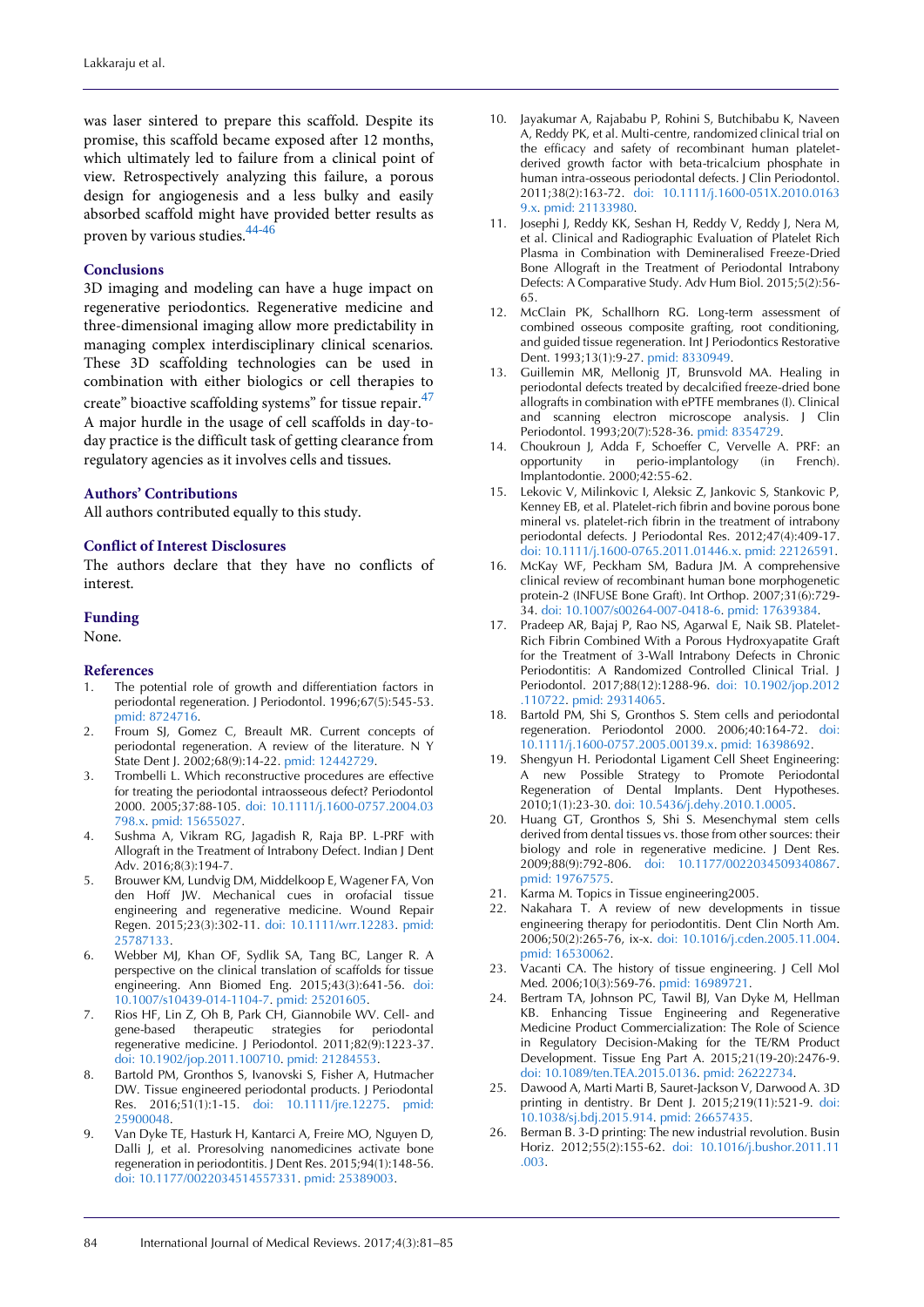was laser sintered to prepare this scaffold. Despite its promise, this scaffold became exposed after 12 months, which ultimately led to failure from a clinical point of view. Retrospectively analyzing this failure, a porous design for angiogenesis and a less bulky and easily absorbed scaffold might have provided better results as proven by various studies. [44-46](#page-4-17)

## **Conclusions**

3D imaging and modeling can have a huge impact on regenerative periodontics. Regenerative medicine and three-dimensional imaging allow more predictability in managing complex interdisciplinary clinical scenarios. These 3D scaffolding technologies can be used in combination with either biologics or cell therapies to create" bioactive scaffolding systems" for tissue repair.<sup>[47](#page-4-18)</sup> A major hurdle in the usage of cell scaffolds in day-today practice is the difficult task of getting clearance from regulatory agencies as it involves cells and tissues.

## **Authors' Contributions**

All authors contributed equally to this study.

#### **Conflict of Interest Disclosures**

The authors declare that they have no conflicts of interest.

## **Funding**

None.

## **References**

- <span id="page-3-0"></span>The potential role of growth and differentiation factors in periodontal regeneration. J Periodontol. 1996;67(5):545-53. [pmid: 8724716.](http://www.ncbi.nlm.nih.gov/pubmed/8724716)
- <span id="page-3-1"></span>2. Froum SJ, Gomez C, Breault MR. Current concepts of periodontal regeneration. A review of the literature. N Y State Dent J. 2002;68(9):14-22[. pmid: 12442729.](http://www.ncbi.nlm.nih.gov/pubmed/12442729)
- <span id="page-3-2"></span>3. Trombelli L. Which reconstructive procedures are effective for treating the periodontal intraosseous defect? Periodontol 2000. 2005;37:88-105. [doi: 10.1111/j.1600-0757.2004.03](http://dx.doi.org/10.1111/j.1600-0757.2004.03798.x) [798.x.](http://dx.doi.org/10.1111/j.1600-0757.2004.03798.x) [pmid: 15655027.](http://www.ncbi.nlm.nih.gov/pubmed/15655027)
- <span id="page-3-3"></span>4. Sushma A, Vikram RG, Jagadish R, Raja BP. L-PRF with Allograft in the Treatment of Intrabony Defect. Indian J Dent Adv. 2016;8(3):194-7.
- <span id="page-3-4"></span>5. Brouwer KM, Lundvig DM, Middelkoop E, Wagener FA, Von den Hoff JW. Mechanical cues in orofacial tissue engineering and regenerative medicine. Wound Repair Regen. 2015;23(3):302-11. [doi: 10.1111/wrr.12283.](http://dx.doi.org/10.1111/wrr.12283) [pmid:](http://www.ncbi.nlm.nih.gov/pubmed/25787133)  [25787133.](http://www.ncbi.nlm.nih.gov/pubmed/25787133)
- <span id="page-3-5"></span>6. Webber MJ, Khan OF, Sydlik SA, Tang BC, Langer R. A perspective on the clinical translation of scaffolds for tissue engineering. Ann Biomed Eng. 2015;43(3):641-56. [doi:](http://dx.doi.org/10.1007/s10439-014-1104-7)  [10.1007/s10439-014-1104-7.](http://dx.doi.org/10.1007/s10439-014-1104-7) [pmid: 25201605.](http://www.ncbi.nlm.nih.gov/pubmed/25201605)
- <span id="page-3-6"></span>7. Rios HF, Lin Z, Oh B, Park CH, Giannobile WV. Cell- and gene-based therapeutic strategies for periodontal regenerative medicine. J Periodontol. 2011;82(9):1223-37. [doi: 10.1902/jop.2011.100710.](http://dx.doi.org/10.1902/jop.2011.100710) [pmid: 21284553.](http://www.ncbi.nlm.nih.gov/pubmed/21284553)
- <span id="page-3-7"></span>8. Bartold PM, Gronthos S, Ivanovski S, Fisher A, Hutmacher DW. Tissue engineered periodontal products. J Periodontal Res. 2016;51(1):1-15. [doi: 10.1111/jre.12275.](http://dx.doi.org/10.1111/jre.12275) [pmid:](http://www.ncbi.nlm.nih.gov/pubmed/25900048)  [25900048.](http://www.ncbi.nlm.nih.gov/pubmed/25900048)
- <span id="page-3-8"></span>9. Van Dyke TE, Hasturk H, Kantarci A, Freire MO, Nguyen D, Dalli J, et al. Proresolving nanomedicines activate bone regeneration in periodontitis. J Dent Res. 2015;94(1):148-56. [doi: 10.1177/0022034514557331.](http://dx.doi.org/10.1177/0022034514557331) [pmid: 25389003.](http://www.ncbi.nlm.nih.gov/pubmed/25389003)
- <span id="page-3-9"></span>10. Jayakumar A, Rajababu P, Rohini S, Butchibabu K, Naveen A, Reddy PK, et al. Multi-centre, randomized clinical trial on the efficacy and safety of recombinant human plateletderived growth factor with beta-tricalcium phosphate in human intra-osseous periodontal defects. J Clin Periodontol. 2011;38(2):163-72. [doi: 10.1111/j.1600-051X.2010.0163](http://dx.doi.org/10.1111/j.1600-051X.2010.01639.x) [9.x.](http://dx.doi.org/10.1111/j.1600-051X.2010.01639.x) [pmid: 21133980.](http://www.ncbi.nlm.nih.gov/pubmed/21133980)
- 11. Josephi J, Reddy KK, Seshan H, Reddy V, Reddy J, Nera M, et al. Clinical and Radiographic Evaluation of Platelet Rich Plasma in Combination with Demineralised Freeze-Dried Bone Allograft in the Treatment of Periodontal Intrabony Defects: A Comparative Study. Adv Hum Biol. 2015;5(2):56- 65.
- 12. McClain PK, Schallhorn RG. Long-term assessment of combined osseous composite grafting, root conditioning, and guided tissue regeneration. Int J Periodontics Restorative Dent. 1993;13(1):9-27[. pmid: 8330949.](http://www.ncbi.nlm.nih.gov/pubmed/8330949)
- 13. Guillemin MR, Mellonig JT, Brunsvold MA. Healing in periodontal defects treated by decalcified freeze-dried bone allografts in combination with ePTFE membranes (I). Clinical and scanning electron microscope analysis. J Clin Periodontol. 1993;20(7):528-36[. pmid: 8354729.](http://www.ncbi.nlm.nih.gov/pubmed/8354729)
- 14. Choukroun J, Adda F, Schoeffer C, Vervelle A. PRF: an opportunity in perio-implantology (in French). Implantodontie. 2000;42:55-62.
- 15. Lekovic V, Milinkovic I, Aleksic Z, Jankovic S, Stankovic P, Kenney EB, et al. Platelet-rich fibrin and bovine porous bone mineral vs. platelet-rich fibrin in the treatment of intrabony periodontal defects. J Periodontal Res. 2012;47(4):409-17. [doi: 10.1111/j.1600-0765.2011.01446.x.](http://dx.doi.org/10.1111/j.1600-0765.2011.01446.x) [pmid: 22126591.](http://www.ncbi.nlm.nih.gov/pubmed/22126591)
- 16. McKay WF, Peckham SM, Badura JM. A comprehensive clinical review of recombinant human bone morphogenetic protein-2 (INFUSE Bone Graft). Int Orthop. 2007;31(6):729- 34. [doi: 10.1007/s00264-007-0418-6.](http://dx.doi.org/10.1007/s00264-007-0418-6) [pmid: 17639384.](http://www.ncbi.nlm.nih.gov/pubmed/17639384)
- 17. Pradeep AR, Bajaj P, Rao NS, Agarwal E, Naik SB. Platelet-Rich Fibrin Combined With a Porous Hydroxyapatite Graft for the Treatment of 3-Wall Intrabony Defects in Chronic Periodontitis: A Randomized Controlled Clinical Trial. J Periodontol. 2017;88(12):1288-96. [doi: 10.1902/jop.2012](http://dx.doi.org/10.1902/jop.2012.110722) [.110722.](http://dx.doi.org/10.1902/jop.2012.110722) [pmid: 29314065.](http://www.ncbi.nlm.nih.gov/pubmed/29314065)
- <span id="page-3-10"></span>18. Bartold PM, Shi S, Gronthos S. Stem cells and periodontal regeneration. Periodontol 2000. 2006;40:164-72. [doi:](http://dx.doi.org/10.1111/j.1600-0757.2005.00139.x)  [10.1111/j.1600-0757.2005.00139.x.](http://dx.doi.org/10.1111/j.1600-0757.2005.00139.x) [pmid: 16398692.](http://www.ncbi.nlm.nih.gov/pubmed/16398692)
- 19. Shengyun H. Periodontal Ligament Cell Sheet Engineering: A new Possible Strategy to Promote Periodontal Regeneration of Dental Implants. Dent Hypotheses. 2010;1(1):23-30. [doi: 10.5436/j.dehy.2010.1.0005.](http://dx.doi.org/10.5436/j.dehy.2010.1.0005)
- 20. Huang GT, Gronthos S, Shi S. Mesenchymal stem cells derived from dental tissues vs. those from other sources: their biology and role in regenerative medicine. J Dent Res. 2009;88(9):792-806. [doi: 10.1177/0022034509340867.](http://dx.doi.org/10.1177/0022034509340867) [pmid: 19767575.](http://www.ncbi.nlm.nih.gov/pubmed/19767575)
- 21. Karma M. Topics in Tissue engineering2005.
- 22. Nakahara T. A review of new developments in tissue engineering therapy for periodontitis. Dent Clin North Am. 2006;50(2):265-76, ix-x. [doi: 10.1016/j.cden.2005.11.004.](http://dx.doi.org/10.1016/j.cden.2005.11.004) [pmid: 16530062.](http://www.ncbi.nlm.nih.gov/pubmed/16530062)
- 23. Vacanti CA. The history of tissue engineering. J Cell Mol Med. 2006;10(3):569-76. [pmid: 16989721.](http://www.ncbi.nlm.nih.gov/pubmed/16989721)
- <span id="page-3-11"></span>24. Bertram TA, Johnson PC, Tawil BJ, Van Dyke M, Hellman KB. Enhancing Tissue Engineering and Regenerative Medicine Product Commercialization: The Role of Science in Regulatory Decision-Making for the TE/RM Product Development. Tissue Eng Part A. 2015;21(19-20):2476-9. [doi: 10.1089/ten.TEA.2015.0136.](http://dx.doi.org/10.1089/ten.TEA.2015.0136) [pmid: 26222734.](http://www.ncbi.nlm.nih.gov/pubmed/26222734)
- <span id="page-3-12"></span>25. Dawood A, Marti Marti B, Sauret-Jackson V, Darwood A. 3D printing in dentistry. Br Dent J. 2015;219(11):521-9. [doi:](http://dx.doi.org/10.1038/sj.bdj.2015.914)  [10.1038/sj.bdj.2015.914.](http://dx.doi.org/10.1038/sj.bdj.2015.914) [pmid: 26657435.](http://www.ncbi.nlm.nih.gov/pubmed/26657435)
- <span id="page-3-13"></span>26. Berman B. 3-D printing: The new industrial revolution. Busin Horiz. 2012;55(2):155-62. [doi: 10.1016/j.bushor.2011.11](http://dx.doi.org/10.1016/j.bushor.2011.11.003) [.003.](http://dx.doi.org/10.1016/j.bushor.2011.11.003)